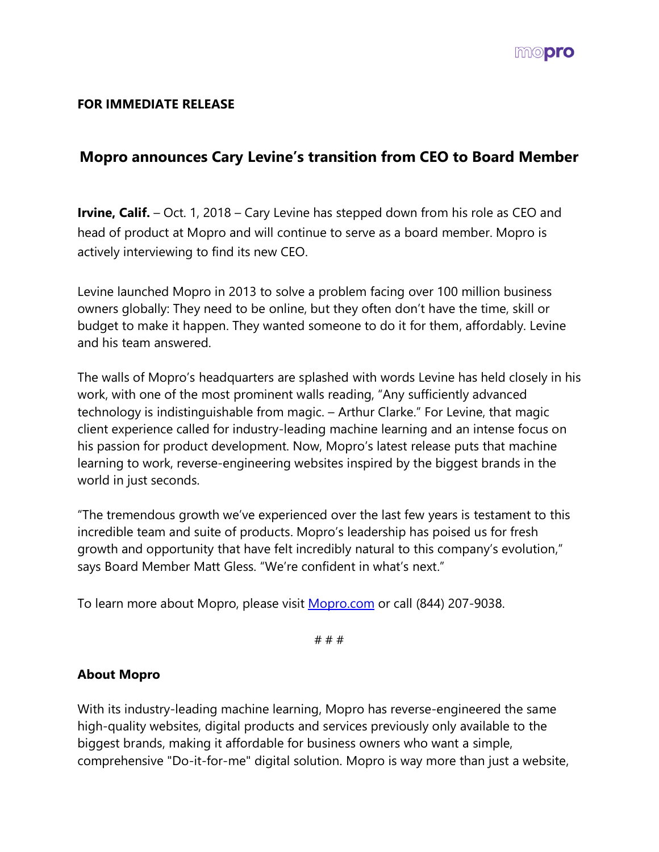

## **FOR IMMEDIATE RELEASE**

## **Mopro announces Cary Levine's transition from CEO to Board Member**

**Irvine, Calif.** – Oct. 1, 2018 – Cary Levine has stepped down from his role as CEO and head of product at Mopro and will continue to serve as a board member. Mopro is actively interviewing to find its new CEO.

Levine launched Mopro in 2013 to solve a problem facing over 100 million business owners globally: They need to be online, but they often don't have the time, skill or budget to make it happen. They wanted someone to do it for them, affordably. Levine and his team answered.

The walls of Mopro's headquarters are splashed with words Levine has held closely in his work, with one of the most prominent walls reading, "Any sufficiently advanced technology is indistinguishable from magic. – Arthur Clarke." For Levine, that magic client experience called for industry-leading machine learning and an intense focus on his passion for product development. Now, Mopro's latest release puts that machine learning to work, reverse-engineering websites inspired by the biggest brands in the world in just seconds.

"The tremendous growth we've experienced over the last few years is testament to this incredible team and suite of products. Mopro's leadership has poised us for fresh growth and opportunity that have felt incredibly natural to this company's evolution," says Board Member Matt Gless. "We're confident in what's next."

To learn more about Mopro, please visit [Mopro.com](http://mopro.com/) or call (844) 207-9038.

# # #

## **About Mopro**

With its industry-leading machine learning, Mopro has reverse-engineered the same high-quality websites, digital products and services previously only available to the biggest brands, making it affordable for business owners who want a simple, comprehensive "Do-it-for-me" digital solution. Mopro is way more than just a website,